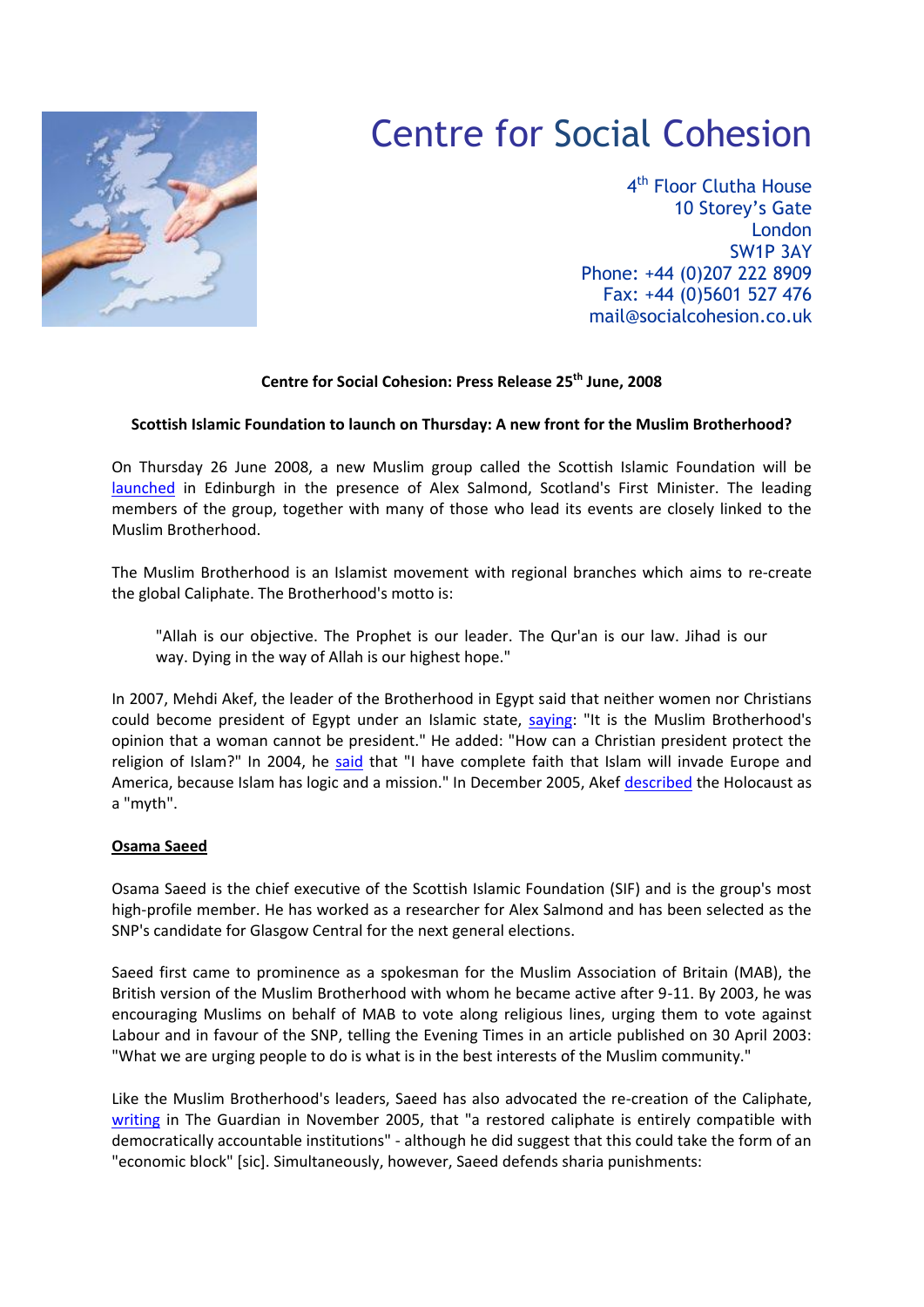

# Centre for Social Cohesion

4<sup>th</sup> Floor Clutha House 10 Storey's Gate London SW1P 3AY Phone: +44 (0)207 222 8909 Fax: +44 (0)5601 527 476 mail@socialcohesion.co.uk

## **Centre for Social Cohesion: Press Release 25th June, 2008**

### **Scottish Islamic Foundation to launch on Thursday: A new front for the Muslim Brotherhood?**

On Thursday 26 June 2008, a new Muslim group called the Scottish Islamic Foundation will be [launched](http://www.holyrood.com/content/view/2612/10552) in Edinburgh in the presence of Alex Salmond, Scotland's First Minister. The leading members of the group, together with many of those who lead its events are closely linked to the Muslim Brotherhood.

The Muslim Brotherhood is an Islamist movement with regional branches which aims to re-create the global Caliphate. The Brotherhood's motto is:

"Allah is our objective. The Prophet is our leader. The Qur'an is our law. Jihad is our way. Dying in the way of Allah is our highest hope."

In 2007, Mehdi Akef, the leader of the Brotherhood in Egypt said that neither women nor Christians could become president of Egypt under an Islamic state, [saying:](http://www.theage.com.au/news/world/divisions-in-muslim-brotherhood/2007/11/16/1194766965617.html) "It is the Muslim Brotherhood's opinion that a woman cannot be president." He added: "How can a Christian president protect the religion of Islam?" In 2004, he [said](http://www.memri.org/bin/articles.cgi?Area=jihad&ID=SP65504) that "I have complete faith that Islam will invade Europe and America, because Islam has logic and a mission." In December 2005, Akef [described](http://www.nytimes.com/2005/12/22/international/africa/22cnd-egypt.html) the Holocaust as a "myth".

### **Osama Saeed**

Osama Saeed is the chief executive of the Scottish Islamic Foundation (SIF) and is the group's most high-profile member. He has worked as a researcher for Alex Salmond and has been selected as the SNP's candidate for Glasgow Central for the next general elections.

Saeed first came to prominence as a spokesman for the Muslim Association of Britain (MAB), the British version of the Muslim Brotherhood with whom he became active after 9-11. By 2003, he was encouraging Muslims on behalf of MAB to vote along religious lines, urging them to vote against Labour and in favour of the SNP, telling the Evening Times in an article published on 30 April 2003: "What we are urging people to do is what is in the best interests of the Muslim community."

Like the Muslim Brotherhood's leaders, Saeed has also advocated the re-creation of the Caliphate, [writing](http://www.guardian.co.uk/politics/2005/nov/01/religion.world) in The Guardian in November 2005, that "a restored caliphate is entirely compatible with democratically accountable institutions" - although he did suggest that this could take the form of an "economic block" [sic]. Simultaneously, however, Saeed defends sharia punishments: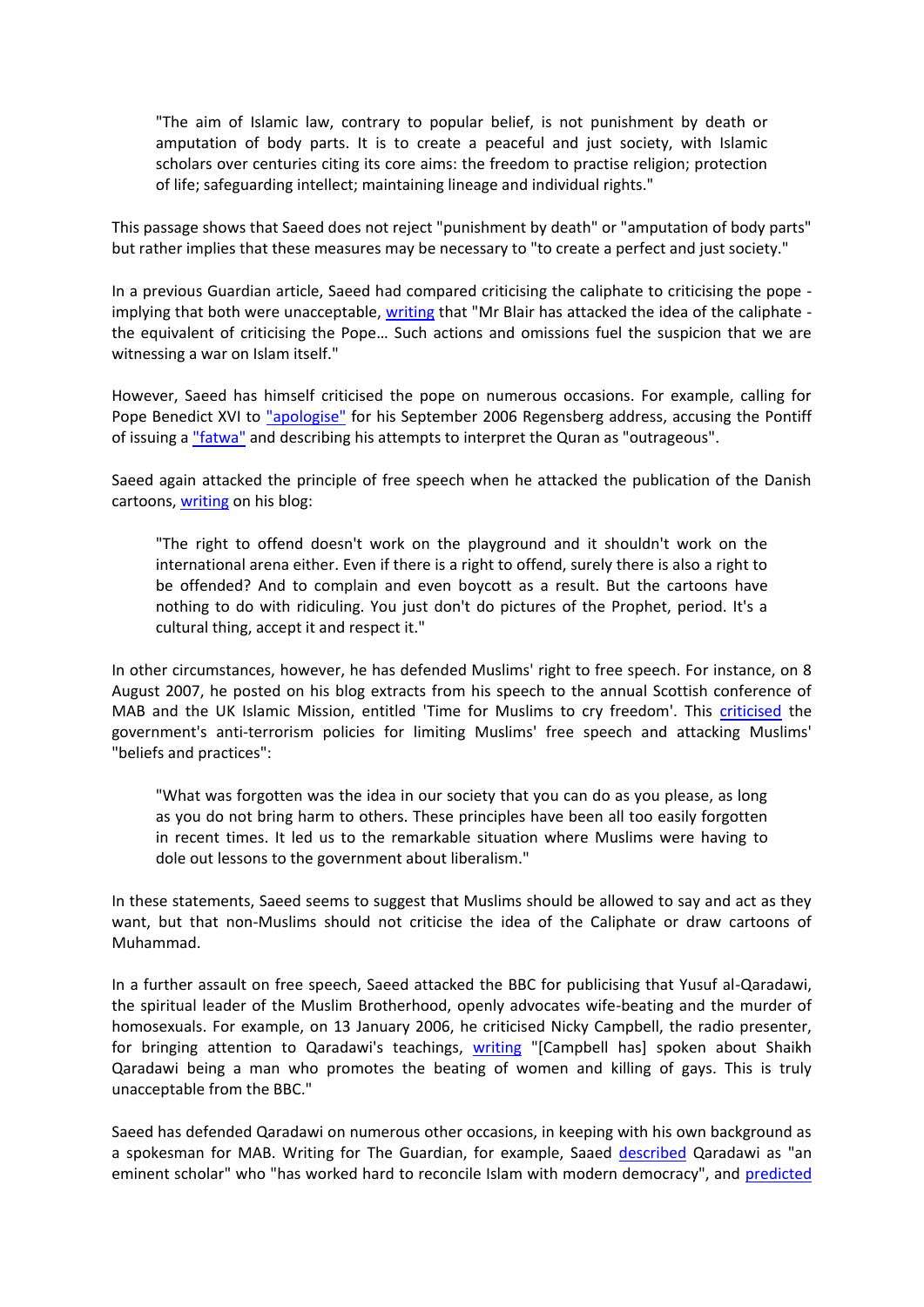"The aim of Islamic law, contrary to popular belief, is not punishment by death or amputation of body parts. It is to create a peaceful and just society, with Islamic scholars over centuries citing its core aims: the freedom to practise religion; protection of life; safeguarding intellect; maintaining lineage and individual rights."

This passage shows that Saeed does not reject "punishment by death" or "amputation of body parts" but rather implies that these measures may be necessary to "to create a perfect and just society."

In a previous Guardian article, Saeed had compared criticising the caliphate to criticising the pope implying that both were unacceptable, [writing](http://www.guardian.co.uk/politics/2005/jul/23/july7.uk) that "Mr Blair has attacked the idea of the caliphate the equivalent of criticising the Pope… Such actions and omissions fuel the suspicion that we are witnessing a war on Islam itself."

However, Saeed has himself criticised the pope on numerous occasions. For example, calling for Pope Benedict XVI to ["apologise"](http://www.osamasaeed.org/osama/2006/09/what_a_real_apo.html) for his September 2006 Regensberg address, accusing the Pontiff of issuing a ["fatwa"](http://www.osamasaeed.org/osama/2006/09/what_a_real_apo.html) and describing his attempts to interpret the Quran as "outrageous".

Saeed again attacked the principle of free speech when he attacked the publication of the Danish cartoons, [writing](http://www.osamasaeed.org/osama/2006/02/those_blasted_c.html) on his blog:

"The right to offend doesn't work on the playground and it shouldn't work on the international arena either. Even if there is a right to offend, surely there is also a right to be offended? And to complain and even boycott as a result. But the cartoons have nothing to do with ridiculing. You just don't do pictures of the Prophet, period. It's a cultural thing, accept it and respect it."

In other circumstances, however, he has defended Muslims' right to free speech. For instance, on 8 August 2007, he posted on his blog extracts from his speech to the annual Scottish conference of MAB and the UK Islamic Mission, entitled 'Time for Muslims to cry freedom'. This [criticised](http://www.osamasaeed.org/osama/2007/08/time-for-muslim.html) the government's anti-terrorism policies for limiting Muslims' free speech and attacking Muslims' "beliefs and practices":

"What was forgotten was the idea in our society that you can do as you please, as long as you do not bring harm to others. These principles have been all too easily forgotten in recent times. It led us to the remarkable situation where Muslims were having to dole out lessons to the government about liberalism."

In these statements, Saeed seems to suggest that Muslims should be allowed to say and act as they want, but that non-Muslims should not criticise the idea of the Caliphate or draw cartoons of Muhammad.

In a further assault on free speech, Saeed attacked the BBC for publicising that Yusuf al-Qaradawi, the spiritual leader of the Muslim Brotherhood, openly advocates wife-beating and the murder of homosexuals. For example, on 13 January 2006, he criticised Nicky Campbell, the radio presenter, for bringing attention to Qaradawi's teachings, [writing](http://www.osamasaeed.org/osama/2006/01/bad_taste_from_.html) "[Campbell has] spoken about Shaikh Qaradawi being a man who promotes the beating of women and killing of gays. This is truly unacceptable from the BBC."

Saeed has defended Qaradawi on numerous other occasions, in keeping with his own background as a spokesman for MAB. Writing for The Guardian, for example, Saaed [described](http://www.guardian.co.uk/politics/2005/jul/23/july7.uk) Qaradawi as "an eminent scholar" who "has worked hard to reconcile Islam with modern democracy", and [predicted](http://www.osamasaeed.org/osama/2007/02/mirror_images_o.html)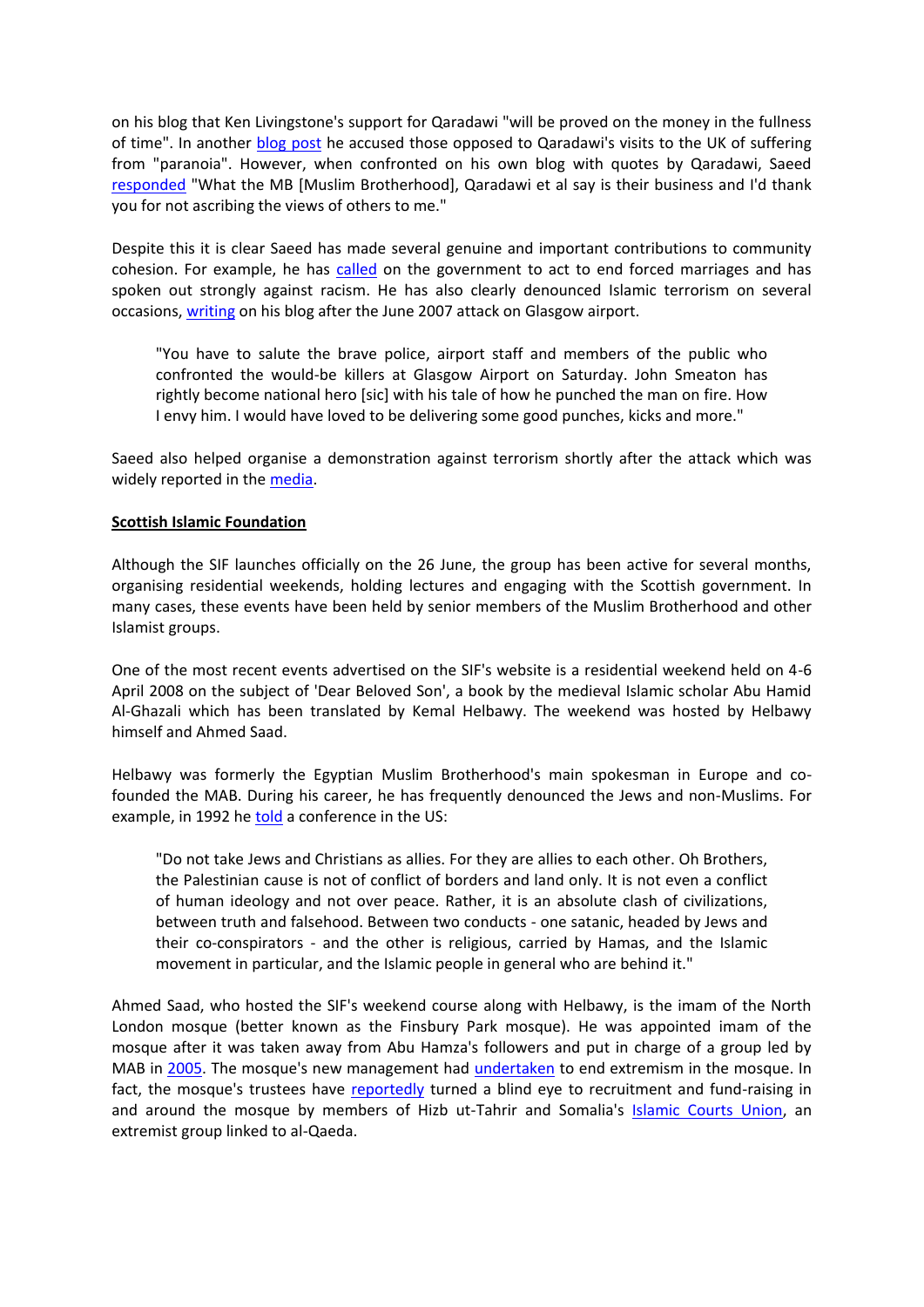on his blog that Ken Livingstone's support for Qaradawi "will be proved on the money in the fullness of time". In another [blog post](http://www.osamasaeed.org/osama/2006/02/contextualising.html) he accused those opposed to Qaradawi's visits to the UK of suffering from "paranoia". However, when confronted on his own blog with quotes by Qaradawi, Saeed [responded](http://www.osamasaeed.org/osama/2007/08/the-recent-atta.html) "What the MB [Muslim Brotherhood], Qaradawi et al say is their business and I'd thank you for not ascribing the views of others to me."

Despite this it is clear Saeed has made several genuine and important contributions to community cohesion. For example, he has [called](http://news.bbc.co.uk/1/hi/scotland/7310642.stm) on the government to act to end forced marriages and has spoken out strongly against racism. He has also clearly denounced Islamic terrorism on several occasions, [writing](http://www.osamasaeed.org/osama/2007/07/second-post-aft.html) on his blog after the June 2007 attack on Glasgow airport.

"You have to salute the brave police, airport staff and members of the public who confronted the would-be killers at Glasgow Airport on Saturday. John Smeaton has rightly become national hero [sic] with his tale of how he punched the man on fire. How I envy him. I would have loved to be delivering some good punches, kicks and more."

Saeed also helped organise a demonstration against terrorism shortly after the attack which was widely reported in the [media.](http://news.bbc.co.uk/1/hi/scotland/glasgow_and_west/6279416.stm)

### **Scottish Islamic Foundation**

Although the SIF launches officially on the 26 June, the group has been active for several months, organising residential weekends, holding lectures and engaging with the Scottish government. In many cases, these events have been held by senior members of the Muslim Brotherhood and other Islamist groups.

One of the most recent events advertised on the SIF's website is a residential weekend held on 4-6 April 2008 on the subject of 'Dear Beloved Son', a book by the medieval Islamic scholar Abu Hamid Al-Ghazali which has been translated by Kemal Helbawy. The weekend was hosted by Helbawy himself and Ahmed Saad.

Helbawy was formerly the Egyptian Muslim Brotherhood's main spokesman in Europe and cofounded the MAB. During his career, he has frequently denounced the Jews and non-Muslims. For example, in 1992 h[e told](http://www.investigativeproject.org/article/238) a conference in the US:

"Do not take Jews and Christians as allies. For they are allies to each other. Oh Brothers, the Palestinian cause is not of conflict of borders and land only. It is not even a conflict of human ideology and not over peace. Rather, it is an absolute clash of civilizations, between truth and falsehood. Between two conducts - one satanic, headed by Jews and their co-conspirators - and the other is religious, carried by Hamas, and the Islamic movement in particular, and the Islamic people in general who are behind it."

Ahmed Saad, who hosted the SIF's weekend course along with Helbawy, is the imam of the North London mosque (better known as the Finsbury Park mosque). He was appointed imam of the mosque after it was taken away from Abu Hamza's followers and put in charge of a group led by MAB in [2005.](http://www.mcb.org.uk/features/features.php?ann_id=800) The mosque's new management had [undertaken](http://news.bbc.co.uk/1/hi/uk/4639074.stm) to end extremism in the mosque. In fact, the mosque's trustees have [reportedly](http://www.telegraph.co.uk/news/worldnews/1539501/Islamists-use-raid-to-stir-up-UK-Somalis.html) turned a blind eye to recruitment and fund-raising in and around the mosque by members of Hizb ut-Tahrir and Somalia's [Islamic Courts Union,](http://www.guardian.co.uk/world/2007/jan/13/alqaida.terrorism) an extremist group linked to al-Qaeda.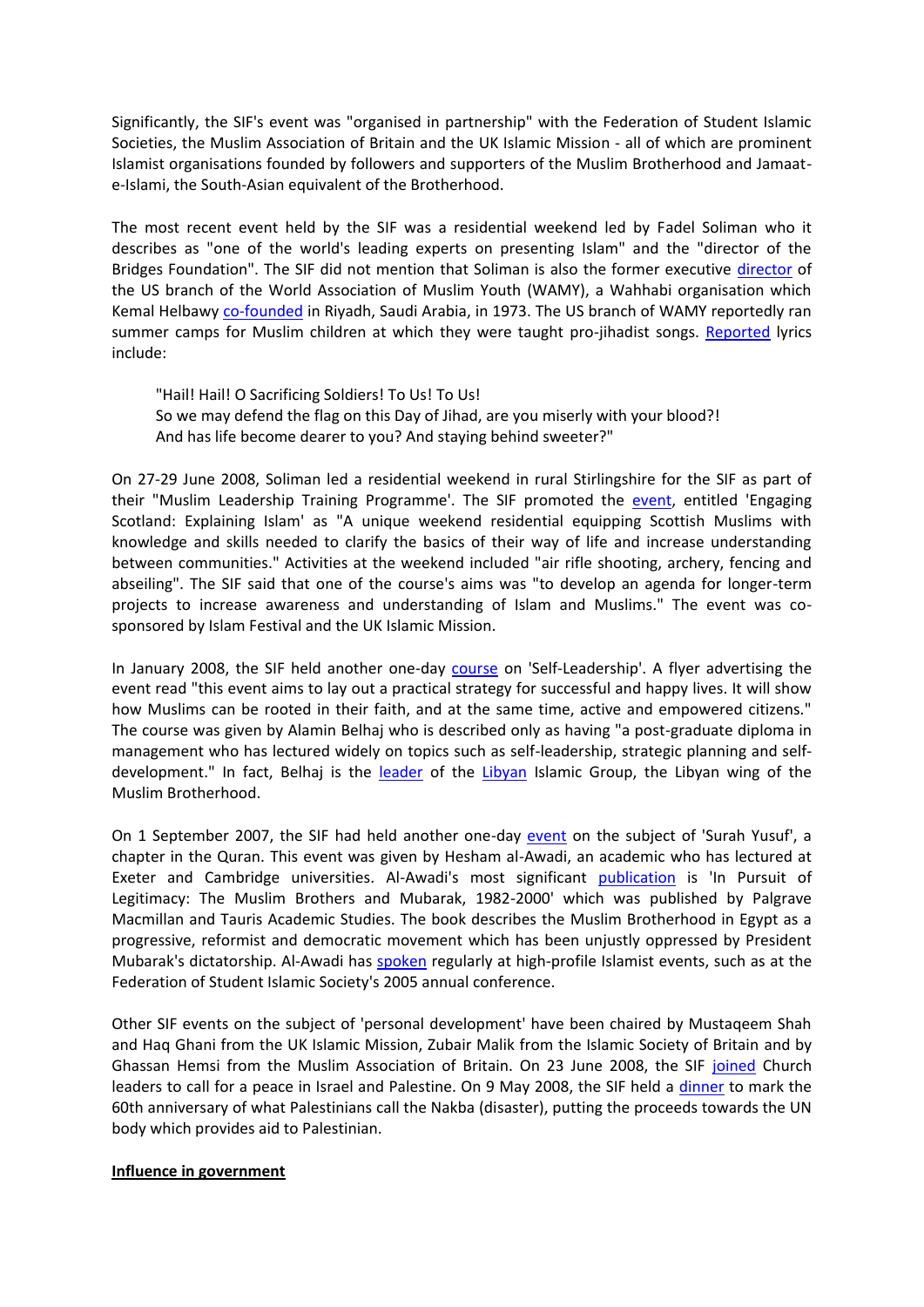Significantly, the SIF's event was "organised in partnership" with the Federation of Student Islamic Societies, the Muslim Association of Britain and the UK Islamic Mission - all of which are prominent Islamist organisations founded by followers and supporters of the Muslim Brotherhood and Jamaate-Islami, the South-Asian equivalent of the Brotherhood.

The most recent event held by the SIF was a residential weekend led by Fadel Soliman who it describes as "one of the world's leading experts on presenting Islam" and the "director of the Bridges Foundation". The SIF did not mention that Soliman is also the former executive [director](http://media.www.theeagleonline.com/media/storage/paper666/news/2004/03/01/News/Muslim.Chaplains.Group.Investigated-622397.shtml) of the US branch of the World Association of Muslim Youth (WAMY), a Wahhabi organisation which Kemal Helbawy [co-founded](http://www.khelbawy.com/) in Riyadh, Saudi Arabia, in 1973. The US branch of WAMY reportedly ran summer camps for Muslim children at which they were taught pro-jihadist songs. [Reported](http://www.investigativeproject.org/redirect/wamy-camp.pdf) lyrics include:

"Hail! Hail! O Sacrificing Soldiers! To Us! To Us! So we may defend the flag on this Day of Jihad, are you miserly with your blood?! And has life become dearer to you? And staying behind sweeter?"

On 27-29 June 2008, Soliman led a residential weekend in rural Stirlingshire for the SIF as part of their "Muslim Leadership Training Programme'. The SIF promoted the [event,](http://scottishislamic.wordpress.com/2008/05/27/explaining-islam/#more-53) entitled 'Engaging Scotland: Explaining Islam' as "A unique weekend residential equipping Scottish Muslims with knowledge and skills needed to clarify the basics of their way of life and increase understanding between communities." Activities at the weekend included "air rifle shooting, archery, fencing and abseiling". The SIF said that one of the course's aims was "to develop an agenda for longer-term projects to increase awareness and understanding of Islam and Muslims." The event was cosponsored by Islam Festival and the UK Islamic Mission.

In January 2008, the SIF held another one-day [course](http://scottishislamic.wordpress.com/2008/01/11/self-leadership-one-day-course/) on 'Self-Leadership'. A flyer advertising the event read "this event aims to lay out a practical strategy for successful and happy lives. It will show how Muslims can be rooted in their faith, and at the same time, active and empowered citizens." The course was given by Alamin Belhaj who is described only as having "a post-graduate diploma in management who has lectured widely on topics such as self-leadership, strategic planning and selfdevelopment." In fact, Belhaj is the [leader](http://www2.warwick.ac.uk/fac/soc/pais/research/newsecurity/researchprojects/immigration_political_violence_and_security_north_african_immigrants_in_the_uk.pdf) of the [Libyan](http://www.jamestown.org/publications_details.php?volume_id=403&issue_id=3110&article_id=2368703) Islamic Group, the Libyan wing of the Muslim Brotherhood.

On 1 September 2007, the SIF had held another one-day [event](http://scottishislamic.wordpress.com/tag/surah-yusuf/) on the subject of 'Surah Yusuf', a chapter in the Quran. This event was given by Hesham al-Awadi, an academic who has lectured at Exeter and Cambridge universities. Al-Awadi's most significant [publication](http://www.palgrave-usa.com/catalog/product.aspx?isbn=1850436320) is 'In Pursuit of Legitimacy: The Muslim Brothers and Mubarak, 1982-2000' which was published by Palgrave Macmillan and Tauris Academic Studies. The book describes the Muslim Brotherhood in Egypt as a progressive, reformist and democratic movement which has been unjustly oppressed by President Mubarak's dictatorship. Al-Awadi has [spoken](http://www.fosis.org.uk/FAC/conference05/lectures.htm) regularly at high-profile Islamist events, such as at the Federation of Student Islamic Society's 2005 annual conference.

Other SIF events on the subject of 'personal development' have been chaired by Mustaqeem Shah and Haq Ghani from the UK Islamic Mission, Zubair Malik from the Islamic Society of Britain and by Ghassan Hemsi from the Muslim Association of Britain. On 23 June 2008, the SIF [joined](http://scottishislamic.wordpress.com/2008/06/05/sif-joins-churches-in-calling-for-peace-in-palestine-and-israel/%5d.) Church leaders to call for a peace in Israel and Palestine. On 9 May 2008, the SIF held a [dinner](http://scottishislamic.wordpress.com/2008/04/07/scotland-commemorating-nakba-60/%5d.) to mark the 60th anniversary of what Palestinians call the Nakba (disaster), putting the proceeds towards the UN body which provides aid to Palestinian.

### **Influence in government**